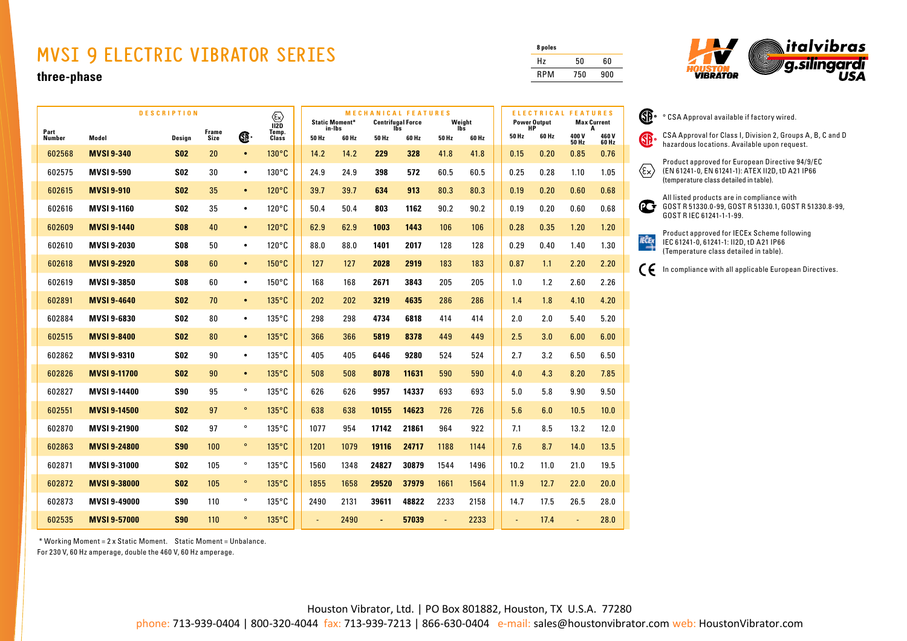## **MVSI 9 ELECTRIC VIBRATOR SERIES**

## **three-phase**

|                | <b>DESCRIPTION</b><br>$\langle \overline{\mathbb{E}} \rangle$<br>$I\overline{2D}$ |            |               |           |                 | <b>Static Moment*</b> | <b>MECHANICAL FEATURES</b><br><b>Centrifugal Force</b><br>lĥs |       | Weight |                | ELECTRICAL FEATURES<br><b>Power Output</b><br>HР |  | <b>Max Current</b><br>А |       |               |                |
|----------------|-----------------------------------------------------------------------------------|------------|---------------|-----------|-----------------|-----------------------|---------------------------------------------------------------|-------|--------|----------------|--------------------------------------------------|--|-------------------------|-------|---------------|----------------|
| Part<br>Number | Model                                                                             | Design     | Frame<br>Size | Œ.        | Temp.<br>Class  | 50 Hz                 | in-Ibs<br>60 Hz                                               | 50 Hz | 60 Hz  | lbs<br>50 Hz   | 60 Hz                                            |  | 50 Hz                   | 60 Hz | 400V<br>50 Hz | 460 V<br>60 Hz |
| 602568         | <b>MVSI 9-340</b>                                                                 | <b>S02</b> | 20            | $\bullet$ | 130°C           | 14.2                  | 14.2                                                          | 229   | 328    | 41.8           | 41.8                                             |  | 0.15                    | 0.20  | 0.85          | 0.76           |
| 602575         | <b>MVSI 9-590</b>                                                                 | <b>S02</b> | 30            | $\bullet$ | $130^{\circ}$ C | 24.9                  | 24.9                                                          | 398   | 572    | 60.5           | 60.5                                             |  | 0.25                    | 0.28  | 1.10          | 1.05           |
| 602615         | <b>MVSI 9-910</b>                                                                 | <b>S02</b> | 35            | $\bullet$ | $120^{\circ}$ C | 39.7                  | 39.7                                                          | 634   | 913    | 80.3           | 80.3                                             |  | 0.19                    | 0.20  | 0.60          | 0.68           |
| 602616         | <b>MVSI 9-1160</b>                                                                | <b>S02</b> | 35            | $\bullet$ | $120^{\circ}$ C | 50.4                  | 50.4                                                          | 803   | 1162   | 90.2           | 90.2                                             |  | 0.19                    | 0.20  | 0.60          | 0.68           |
| 602609         | <b>MVSI 9-1440</b>                                                                | <b>S08</b> | 40            | $\bullet$ | 120°C           | 62.9                  | 62.9                                                          | 1003  | 1443   | 106            | 106                                              |  | 0.28                    | 0.35  | 1.20          | 1.20           |
| 602610         | MVSI 9-2030                                                                       | <b>S08</b> | 50            | $\bullet$ | $120^{\circ}$ C | 88.0                  | 88.0                                                          | 1401  | 2017   | 128            | 128                                              |  | 0.29                    | 0.40  | 1.40          | 1.30           |
| 602618         | <b>MVSI 9-2920</b>                                                                | <b>S08</b> | 60            | $\bullet$ | $150^{\circ}$ C | 127                   | 127                                                           | 2028  | 2919   | 183            | 183                                              |  | 0.87                    | 1.1   | 2.20          | 2.20           |
| 602619         | <b>MVSI 9-3850</b>                                                                | <b>SO8</b> | 60            | $\bullet$ | $150^{\circ}$ C | 168                   | 168                                                           | 2671  | 3843   | 205            | 205                                              |  | 1.0                     | 1.2   | 2.60          | 2.26           |
| 602891         | <b>MVSI 9-4640</b>                                                                | <b>S02</b> | 70            | $\bullet$ | $135^{\circ}$ C | 202                   | 202                                                           | 3219  | 4635   | 286            | 286                                              |  | 1.4                     | 1.8   | 4.10          | 4.20           |
| 602884         | MVSI 9-6830                                                                       | <b>S02</b> | 80            | $\bullet$ | $135^{\circ}$ C | 298                   | 298                                                           | 4734  | 6818   | 414            | 414                                              |  | 2.0                     | 2.0   | 5.40          | 5.20           |
| 602515         | <b>MVSI 9-8400</b>                                                                | <b>S02</b> | 80            | $\bullet$ | 135°C           | 366                   | 366                                                           | 5819  | 8378   | 449            | 449                                              |  | 2.5                     | 3.0   | 6.00          | 6.00           |
| 602862         | MVSI 9-9310                                                                       | <b>S02</b> | 90            | $\bullet$ | $135^{\circ}$ C | 405                   | 405                                                           | 6446  | 9280   | 524            | 524                                              |  | 2.7                     | 3.2   | 6.50          | 6.50           |
| 602826         | <b>MVSI 9-11700</b>                                                               | <b>S02</b> | 90            | $\bullet$ | $135^{\circ}$ C | 508                   | 508                                                           | 8078  | 11631  | 590            | 590                                              |  | 4.0                     | 4.3   | 8.20          | 7.85           |
| 602827         | MVSI 9-14400                                                                      | <b>S90</b> | 95            | $\circ$   | $135^{\circ}$ C | 626                   | 626                                                           | 9957  | 14337  | 693            | 693                                              |  | 5.0                     | 5.8   | 9.90          | 9.50           |
| 602551         | <b>MVSI 9-14500</b>                                                               | <b>S02</b> | 97            | $\circ$   | 135°C           | 638                   | 638                                                           | 10155 | 14623  | 726            | 726                                              |  | 5.6                     | 6.0   | 10.5          | 10.0           |
| 602870         | MVSI 9-21900                                                                      | <b>SO2</b> | 97            | $\circ$   | $135^{\circ}$ C | 1077                  | 954                                                           | 17142 | 21861  | 964            | 922                                              |  | 7.1                     | 8.5   | 13.2          | 12.0           |
| 602863         | <b>MVSI 9-24800</b>                                                               | <b>S90</b> | 100           | $\circ$   | $135^{\circ}$ C | 1201                  | 1079                                                          | 19116 | 24717  | 1188           | 1144                                             |  | 7.6                     | 8.7   | 14.0          | 13.5           |
| 602871         | <b>MVSI 9-31000</b>                                                               | <b>S02</b> | 105           | $\circ$   | $135^{\circ}$ C | 1560                  | 1348                                                          | 24827 | 30879  | 1544           | 1496                                             |  | 10.2                    | 11.0  | 21.0          | 19.5           |
| 602872         | <b>MVSI 9-38000</b>                                                               | <b>S02</b> | 105           | $\circ$   | $135^{\circ}$ C | 1855                  | 1658                                                          | 29520 | 37979  | 1661           | 1564                                             |  | 11.9                    | 12.7  | 22.0          | 20.0           |
| 602873         | <b>MVSI 9-49000</b>                                                               | <b>S90</b> | 110           | $\circ$   | $135^{\circ}$ C | 2490                  | 2131                                                          | 39611 | 48822  | 2233           | 2158                                             |  | 14.7                    | 17.5  | 26.5          | 28.0           |
| 602535         | <b>MVSI 9-57000</b>                                                               | <b>S90</b> | 110           | $\circ$   | $135^{\circ}$ C |                       | 2490                                                          |       | 57039  | $\blacksquare$ | 2233                                             |  |                         | 17.4  |               | 28.0           |

**8 poles** Hz 50 60 RPM 750 900

 $\rightarrow$ 



| s                   |    | ° CSA Approval available if factory wired.                                                                 |
|---------------------|----|------------------------------------------------------------------------------------------------------------|
| I V<br>Hz           | SB | CSA Approval for Class I, Division 2, Groups A, B, C and D<br>hazardous locations. Available upon request. |
| $\overline{6}$      |    | Product approved for European Directive 94/9/EC                                                            |
| 15                  | ε× | (EN 61241-0, EN 61241-1): ATEX II2D, tD A21 IP66<br>(temperature class detailed in table).                 |
| $\overline{\bf 36}$ |    | All listed products are in compliance with                                                                 |
| òś                  |    | GOST R 51330.0-99, GOST R 51330.1, GOST R 51330.8-99,<br>GOST R IEC 61241-1-1-99.                          |
| 20                  |    | Product approved for IECEx Scheme following                                                                |
| 80                  |    | IEC 61241-0, 61241-1: II2D, tD A21 IP66<br>(Temperature class detailed in table).                          |
| 20                  |    | In compliance with all applicable European Directives.                                                     |
|                     |    |                                                                                                            |

\* Working Moment = 2 x Static Moment. Static Moment = Unbalance.

For 230 V, 60 Hz amperage, double the 460 V, 60 Hz amperage.

Houston Vibrator, Ltd. | PO Box 801882, Houston, TX U.S.A. 77280

phone: 713-939-0404 | 800-320-4044 fax: 713-939-7213 | 866-630-0404 e-mail: sales@houstonvibrator.com web: HoustonVibrator.com